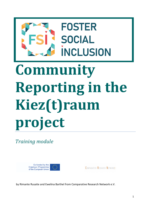# **FOSTER SOCIAL INCLUSION Community**  l **Reporting in the Kiez(t)raum**

*Training module* 

**project**



| <b>COMPARATIVE RESEARCH NETWORK:</b> |  |  |
|--------------------------------------|--|--|
|--------------------------------------|--|--|

by Rimante Rusaite and Ewelina Barthel from Comparative Research Network e.V.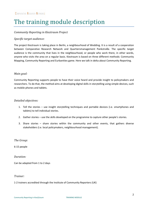# The training module description

#### *Community Reporting in Kieztraum Project*

#### *Specific target audience:*

The project Kieztraum is taking place in Berlin, a neighbourhood of Wedding. It is a result of a cooperation between Comparative Research Network and Quartiersmanagement Pankstraße. The specific target audience is the community that lives in the neighbourhood, or people who work there, in other words, anyone who visits the area on a regular basis. Kieztraum is based on three different methods: Community Mapping, Community Reporting and Eurbanities game. Here we talk in delta about Community Reporting.

#### *Main goal:*

Community Reporting supports people to have their voice heard and provide insight to policymakers and researchers. To do that, the method aims at developing digital skills in storytelling using simple devices, such as mobile phones and tablets.

#### *Detailed objectives:*

- 1. Tell the stories use insight storytelling techniques and portable devices (i.e. smartphones and tablets) to tell individual stories.
- 2. Gather stories use the skills developed on the programme to capture other people's stories.
- 3. Share stories share stories within the community and other events, that gathers diverse stakeholders (i.e. local policymakers, neighbourhood management).

*The Group:* 

6-15 people

*Duration:* 

Can be adapted from 1 to 2 days

#### *Trainer:*

#### 1-2 trainers accredited through the Institute of Community Reporters (UK)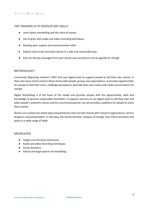#### *THE TRAINING IS TO DEVELOP KEY SKILLS*

- Learn about storytelling and the value of stories
- Get to grips with audio and video recording techniques
- Develop peer support and communication skills
- Explore how to tell and share stories in a safe and responsible way
- Pick out the key messages from your stories and use these to set an agenda for change

#### *METHODOLOGY*

Community Reporting started in 2007 and uses digital tools to support people to tell their own stories, in their own ways and to connect these stories with people, groups and organisations. It provides opportunities for people to find their voice, challenge perceptions, describe their own reality and create conversations for change.

Digital Storytelling is at the heart of the model and provides people with the opportunities, skills and knowledge to become responsible storytellers. It supports learners to use digital tools to tell their own and other people's authentic stories and the communityreporter.net site provides a platform for people to share these stories.

Stories are curated into online topic-based features that are then shared with research organisations, service designers and policymakers. In that way, the stories become 'catalysts of change' that inform provision and policy in a wide range of fields.

#### *KNOWLEDGE*

- Insight into the local community.
- Audio and video recording techniques.
- Group dynamics.
- Ethical and legal aspects of storytelling.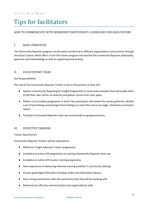# Tips for facilitators

#### *HOW TO COMMUNICATE WITH WORKSHOP PARTICIPANTS: GUIDELINES FOR FACILITATORS*

#### *I. BASIC PRINCIPLES*

The Community Reporter program can be easily transferred to different organizations and countries through the Social License, which offers a train-the-trainer program that teaches the Community Reporter philosophy, approach and methodology as well as supporting local activity.

#### *II. FACILITATORS' TASKS*

#### Key Responsibilities

The role of the Community Reporter Trainer is key to this process as they will:

- Deliver a Community Reporting for Insight programme to community members that will enable them to tell their own stories on diversity and gather stories from their peers.
- Deliver a Co-Curation programme in which the participants will review the stories gathered, identify a set of key findings and package these findings as a short film and a one-page, interactive summative report.
- Facilitate Community Reporter meet-ups and provide on-going assistance.

#### *III. EFFECTIVE TRAINING*

Trainer Specification

Community Reporter Trainers will be expected to:

- Attend an Insight Advocate Trainer programme
- Complete an online ICR programme on running Community Reporter meet-ups
- Complete an online ICR Curator training programme
- Have experience of delivering informal training activities in community settings
- Possess good digital literacies including media and information literacy
- Have strong connections with the community that they will be working with
- Demonstrate effective communication and organisational skills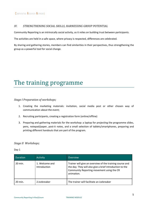#### *IV. STRENGTHENING SOCIAL SKILLS, HARNESSING GROUP POTENTIAL*

Community Reporting is an intrinsically social activity, as it relies on building trust between participants.

The activities are held in a safe space, where privacy is respected, differences are celebrated.

By sharing and gathering stories, members can find similarities in their perspectives, thus strengthening the group as a powerful tool for social change.

### The training programme

*Stage I Preparation of workshops;*

- 1. Creating the marketing materials: invitation, social media post or other chosen way of communication about the event;
- 2. Recruiting participants, creating a registration form (online/offline)
- 3. Preparing and gathering materials for the workshop: a laptop for projecting the programme slides, pens, notepad/paper, post-it notes, and a small selection of tablets/smartphones, preparing and printing different handouts that are part of the program.

#### *Stage II Workshops;*

Day 1

| <b>Duration</b> | <b>Activity</b>                | Overview                                                                                                                                                                        |
|-----------------|--------------------------------|---------------------------------------------------------------------------------------------------------------------------------------------------------------------------------|
| 20 min.         | 1. Welcome and<br>Introduction | Trainer will give an overview of the training course and<br>the day. They will also give a brief introduction to the<br>Community Reporting movement using the CR<br>animation. |
| 20 min.         | 2.Icebreaker                   | The trainer will facilitate an icebreaker                                                                                                                                       |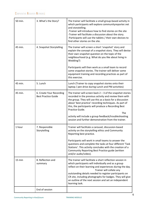| 50 min. | 3. What's the Story?                                   | The trainer will facilitate a small group-based activity in<br>which participants will explore communityreporter.net<br>and storytelling.<br>-Trainer will introduce how to find stories on the site<br>-Trainer will facilitate a discussion about the story.<br>-Participants will use the tablets / their own devices to<br>find other stories on the site.                            |
|---------|--------------------------------------------------------|-------------------------------------------------------------------------------------------------------------------------------------------------------------------------------------------------------------------------------------------------------------------------------------------------------------------------------------------------------------------------------------------|
| 45 min. | 4. Snapshot Storytelling                               | The trainer will screen a short 'snapshot' story and<br>explain the concept of a snapshot story. They will devise<br>their own snapshot question on the topic of the<br>neighbourhood (e.g. What do you like about living in<br>Wedding?)                                                                                                                                                 |
|         |                                                        | Participants will then work as a small team to record<br>some snapshot stories. The trainer will deliver some<br>equipment training and recording practices as part of<br>this exercise.                                                                                                                                                                                                  |
| 45 min. | 5. Lunch                                               | Lunch (Trainer to copy snapshot stories onto their<br>laptop / pen drive during Lunch and PM activities)                                                                                                                                                                                                                                                                                  |
| 45 min. | 6. Create Your Recording<br><b>Best Practice Guide</b> | The trainer will screen back $2 - 3$ of the snapshot stories<br>recorded in the previous activity and review them with<br>the group. They will use this as a basis for a discussion<br>about 'best practice' recording techniques. As part of<br>this, the participants will produce a Recording Best<br>Practice Guide.<br>The<br>activity will include a group feedback/troubleshooting |
| 1 hour  | 7. Responsible                                         | session and further demonstration from the trainer.<br>Trainer will facilitate a carousel, discussion-based                                                                                                                                                                                                                                                                               |
|         | Storytelling                                           | activity on the storytelling ethics and Community<br>Reporting best practice.                                                                                                                                                                                                                                                                                                             |
|         |                                                        | Participants will work in small teams to answer the<br>questions and complete the tasks at four different 'Task<br>Stations'. This activity concludes with the creation of a<br>Community Reporting Best Practice guide (written<br>and/or audio/video).                                                                                                                                  |
| 15 min  | 8. Reflection and<br>summary                           | The trainer will facilitate a short reflection session in<br>which participants will individually and as a group<br>reflect on their learning and experiences during the day.<br>Trainer will collate any                                                                                                                                                                                 |
|         |                                                        | outstanding details needed to register participants on<br>CR site, including photographs for badges. They will give<br>an outline of the next session and set an independent<br>learning task.                                                                                                                                                                                            |
|         | End of session                                         |                                                                                                                                                                                                                                                                                                                                                                                           |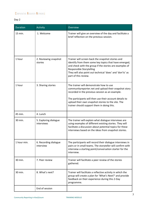### COMPARATIVE RESEARCH NETWORK:

#### Day 2

| <b>Duration</b> | <b>Activity</b>                     | Overview                                                                                                                                                                                                                                                                                                           |
|-----------------|-------------------------------------|--------------------------------------------------------------------------------------------------------------------------------------------------------------------------------------------------------------------------------------------------------------------------------------------------------------------|
| $15$ min.       | 1. Welcome                          | Trainer will give an overview of the day and facilitate a<br>brief reflection on the previous session.                                                                                                                                                                                                             |
| 1 hour          | 2. Reviewing snapshot<br>stories    | Trainer will screen back the snapshot stories and<br>identify from them some key topics that have emerged,<br>and check with the group if the stories are examples of<br><b>Responsible Storytelling</b><br>They will also point out technical 'does' and 'don'ts' as<br>part of this review.                      |
| 1 hour          | 3. Sharing stories                  | The trainer will demonstrate how to use<br>communityreporter.net and upload their snapshot story<br>recorded in the previous session as an example.<br>The participants will then use their account details to<br>upload their own snapshot stories to the site. The<br>trainer should support them in doing this. |
| 45 min.         | 4. Lunch                            |                                                                                                                                                                                                                                                                                                                    |
| 30 min.         | 5. Exploring dialogue<br>interviews | The trainer will explain what dialogue interviews are<br>using examples of different existing stories. They will<br>facilitate a discussion about potential topics for these<br>interviews based on the ideas from snapshot stories.                                                                               |
| 1 hour min.     | 6. Recording dialogue<br>interview  | The participants will record their dialogue interviews in<br>pairs or in small teams. The storyteller will confirm with<br>interview a starting point/conversation starter for the<br>interview.                                                                                                                   |
| 30 min.         | 7. Peer review                      | Trainer will facilitate a peer review of the stories<br>gathered.                                                                                                                                                                                                                                                  |
| 30 min.         | 8. What's next?                     | Trainer will facilitate a reflective activity in which the<br>group will create a plan for 'What's Next?' and provide<br>feedback on their experience during this 2-Day<br>programme.                                                                                                                              |
|                 | End of session                      |                                                                                                                                                                                                                                                                                                                    |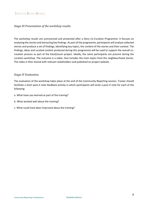#### *Stage III Presentation of the workshop results.*

The workshop results are summarized and presented after a Story Co-Curation Programme. It focuses on analyzing the stories and extracting key findings. As part of the programme, participants will analyse collected stories and produce a set of findings, identifying key topics, the content of the stories and their context. The findings, ideas and curated content produced during this programme will be used to support the overall cocreation process as part of the Kiez(t)raum project. Ideally, the same participants are present during the curation workshop. The outcome is a video, that includes the main topics from the neighbourhood stories. The video is then shared with relevant stakeholders and published on project website.

#### *Stage IV Evaluation.*

The evaluation of the workshop takes place at the end of the Community Reporting session. Trainer should facilitate a short post-it note feedback activity in which participants will write a post-it note for each of the following:

- a. What have you learned as part of the training?
- b. What worked well about the training?
- c. What could have been improved about the training?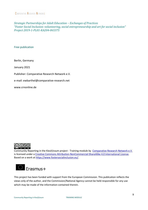*Strategic Partnerships for Adult Education – Exchanges of Practices "Foster Social Inclusion: volunteering, social entrepreneurship and art for social inclusion" Project 2019-1-PL01-KA204-065375* 

Free publication

Berlin, Germany

January 2021

Publisher: Comparative Research Network e.V.

e-mail: ewbarthel@comparative-research.net

www.crnonline.de



Community Reporting in the Kiez(t)raum project - Training module by [Comparative Research Network e.V.](https://crnonline.de/) is licensed under a [Creative Commons Attribution-NonCommercial-ShareAlike 4.0 International License.](http://creativecommons.org/licenses/by-nc-sa/4.0/) Based on a work at [https://www.fostersocialinclusion.eu/.](https://www.fostersocialinclusion.eu/)



This project has been funded with support from the European Commission. This publication reflects the views only of the author, and the Commission/National Agency cannot be held responsible for any use which may be made of the information contained therein.